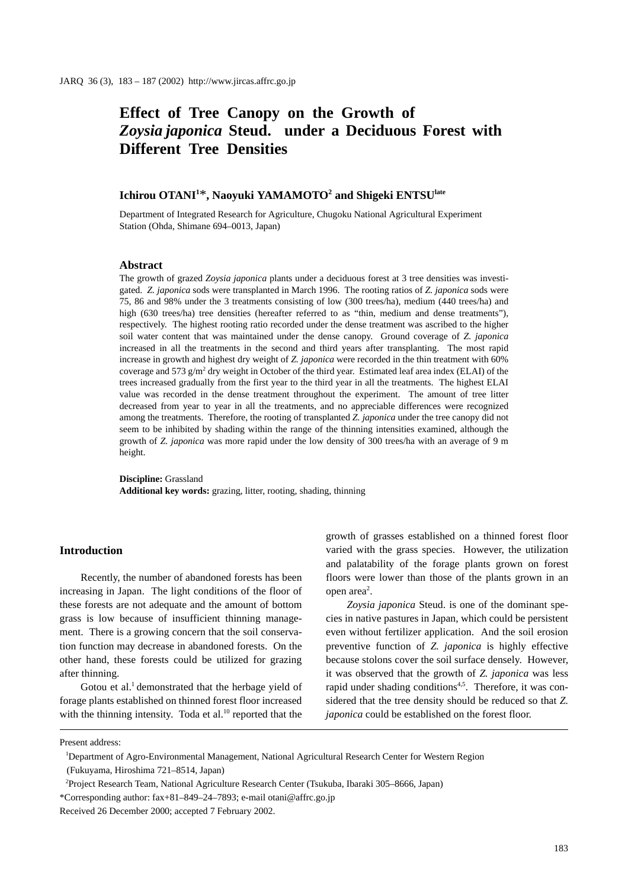# **Effect of Tree Canopy on the Growth of**  *Zoysia japonica* **Steud. under a Deciduous Forest with Different Tree Densities**

# $\,$  Ichirou OTANI $^{1*}$ , Naoyuki YAMAMOTO $^{2}$  and Shigeki  $\,$  ENTSU $\rm ^{late}$

Department of Integrated Research for Agriculture, Chugoku National Agricultural Experiment Station (Ohda, Shimane 694–0013, Japan)

#### **Abstract**

The growth of grazed *Zoysia japonica* plants under a deciduous forest at 3 tree densities was investigated. *Z. japonica* sods were transplanted in March 1996. The rooting ratios of *Z. japonica* sods were 75, 86 and 98% under the 3 treatments consisting of low (300 trees/ha), medium (440 trees/ha) and high (630 trees/ha) tree densities (hereafter referred to as "thin, medium and dense treatments"), respectively. The highest rooting ratio recorded under the dense treatment was ascribed to the higher soil water content that was maintained under the dense canopy. Ground coverage of *Z. japonica* increased in all the treatments in the second and third years after transplanting. The most rapid increase in growth and highest dry weight of *Z. japonica* were recorded in the thin treatment with 60% coverage and 573 g/m<sup>2</sup> dry weight in October of the third year. Estimated leaf area index (ELAI) of the trees increased gradually from the first year to the third year in all the treatments. The highest ELAI value was recorded in the dense treatment throughout the experiment. The amount of tree litter decreased from year to year in all the treatments, and no appreciable differences were recognized among the treatments. Therefore, the rooting of transplanted *Z. japonica* under the tree canopy did not seem to be inhibited by shading within the range of the thinning intensities examined, although the growth of *Z. japonica* was more rapid under the low density of 300 trees/ha with an average of 9 m height.

**Discipline:** Grassland **Additional key words:** grazing, litter, rooting, shading, thinning

#### **Introduction**

Recently, the number of abandoned forests has been increasing in Japan. The light conditions of the floor of these forests are not adequate and the amount of bottom grass is low because of insufficient thinning management. There is a growing concern that the soil conservation function may decrease in abandoned forests. On the other hand, these forests could be utilized for grazing after thinning.

Gotou et al.<sup>1</sup> demonstrated that the herbage yield of forage plants established on thinned forest floor increased with the thinning intensity. Toda et al. $10$  reported that the growth of grasses established on a thinned forest floor varied with the grass species. However, the utilization and palatability of the forage plants grown on forest floors were lower than those of the plants grown in an open area<sup>2</sup>.

*Zoysia japonica* Steud. is one of the dominant species in native pastures in Japan, which could be persistent even without fertilizer application. And the soil erosion preventive function of *Z. japonica* is highly effective because stolons cover the soil surface densely. However, it was observed that the growth of *Z. japonica* was less rapid under shading conditions<sup>4,5</sup>. Therefore, it was considered that the tree density should be reduced so that *Z. japonica* could be established on the forest floor.

Present address:

1 Department of Agro-Environmental Management, National Agricultural Research Center for Western Region (Fukuyama, Hiroshima 721–8514, Japan)

<sup>2</sup> Project Research Team, National Agriculture Research Center (Tsukuba, Ibaraki 305–8666, Japan)

<sup>\*</sup>Corresponding author: fax+81–849–24–7893; e-mail otani@affrc.go.jp

Received 26 December 2000; accepted 7 February 2002.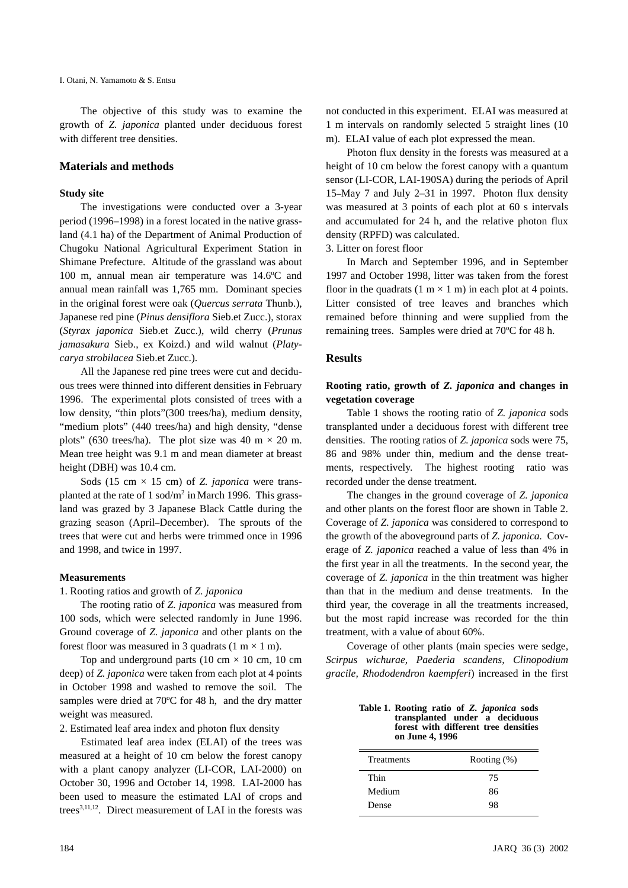The objective of this study was to examine the growth of *Z. japonica* planted under deciduous forest with different tree densities.

#### **Materials and methods**

#### **Study site**

The investigations were conducted over a 3-year period (1996–1998) in a forest located in the native grassland (4.1 ha) of the Department of Animal Production of Chugoku National Agricultural Experiment Station in Shimane Prefecture. Altitude of the grassland was about 100 m, annual mean air temperature was 14.6ºC and annual mean rainfall was 1,765 mm. Dominant species in the original forest were oak (*Quercus serrata* Thunb.), Japanese red pine (*Pinus densiflora* Sieb.et Zucc.), storax (*Styrax japonica* Sieb.et Zucc.), wild cherry (*Prunus jamasakura* Sieb., ex Koizd.) and wild walnut (*Platycarya strobilacea* Sieb.et Zucc.).

All the Japanese red pine trees were cut and deciduous trees were thinned into different densities in February 1996. The experimental plots consisted of trees with a low density, "thin plots"(300 trees/ha), medium density, "medium plots" (440 trees/ha) and high density, "dense plots" (630 trees/ha). The plot size was 40 m  $\times$  20 m. Mean tree height was 9.1 m and mean diameter at breast height (DBH) was 10.4 cm.

Sods (15 cm  $\times$  15 cm) of *Z. japonica* were transplanted at the rate of  $1 \text{ sod/m}^2$  in March 1996. This grassland was grazed by 3 Japanese Black Cattle during the grazing season (April–December). The sprouts of the trees that were cut and herbs were trimmed once in 1996 and 1998, and twice in 1997.

#### **Measurements**

#### 1. Rooting ratios and growth of *Z. japonica*

The rooting ratio of *Z. japonica* was measured from 100 sods, which were selected randomly in June 1996. Ground coverage of *Z. japonica* and other plants on the forest floor was measured in 3 quadrats (1 m  $\times$  1 m).

Top and underground parts (10 cm  $\times$  10 cm, 10 cm deep) of *Z. japonica* were taken from each plot at 4 points in October 1998 and washed to remove the soil. The samples were dried at 70ºC for 48 h, and the dry matter weight was measured.

2. Estimated leaf area index and photon flux density

Estimated leaf area index (ELAI) of the trees was measured at a height of 10 cm below the forest canopy with a plant canopy analyzer (LI-COR, LAI-2000) on October 30, 1996 and October 14, 1998. LAI-2000 has been used to measure the estimated LAI of crops and trees<sup>3,11,12</sup>. Direct measurement of LAI in the forests was not conducted in this experiment. ELAI was measured at 1 m intervals on randomly selected 5 straight lines (10 m). ELAI value of each plot expressed the mean.

Photon flux density in the forests was measured at a height of 10 cm below the forest canopy with a quantum sensor (LI-COR, LAI-190SA) during the periods of April 15–May 7 and July 2–31 in 1997. Photon flux density was measured at 3 points of each plot at 60 s intervals and accumulated for 24 h, and the relative photon flux density (RPFD) was calculated.

3. Litter on forest floor

In March and September 1996, and in September 1997 and October 1998, litter was taken from the forest floor in the quadrats  $(1 \text{ m} \times 1 \text{ m})$  in each plot at 4 points. Litter consisted of tree leaves and branches which remained before thinning and were supplied from the remaining trees. Samples were dried at 70ºC for 48 h.

#### **Results**

## **Rooting ratio, growth of** *Z. japonica* **and changes in vegetation coverage**

Table 1 shows the rooting ratio of *Z. japonica* sods transplanted under a deciduous forest with different tree densities. The rooting ratios of *Z. japonica* sods were 75, 86 and 98% under thin, medium and the dense treatments, respectively. The highest rooting ratio was recorded under the dense treatment.

The changes in the ground coverage of *Z. japonica* and other plants on the forest floor are shown in Table 2. Coverage of *Z. japonica* was considered to correspond to the growth of the aboveground parts of *Z. japonica.* Coverage of *Z. japonica* reached a value of less than 4% in the first year in all the treatments. In the second year, the coverage of *Z. japonica* in the thin treatment was higher than that in the medium and dense treatments. In the third year, the coverage in all the treatments increased, but the most rapid increase was recorded for the thin treatment, with a value of about 60%.

Coverage of other plants (main species were sedge, *Scirpus wichurae, Paederia scandens, Clinopodium gracile, Rhododendron kaempferi*) increased in the first

| Table 1. Rooting ratio of Z. <i>japonica</i> sods       |
|---------------------------------------------------------|
| transplanted under a deciduous                          |
| forest with different tree densities<br>on June 4, 1996 |

| <b>Treatments</b> | Rooting $(\%)$ |
|-------------------|----------------|
| Thin              | 75             |
| Medium            | 86             |
| Dense             | 98             |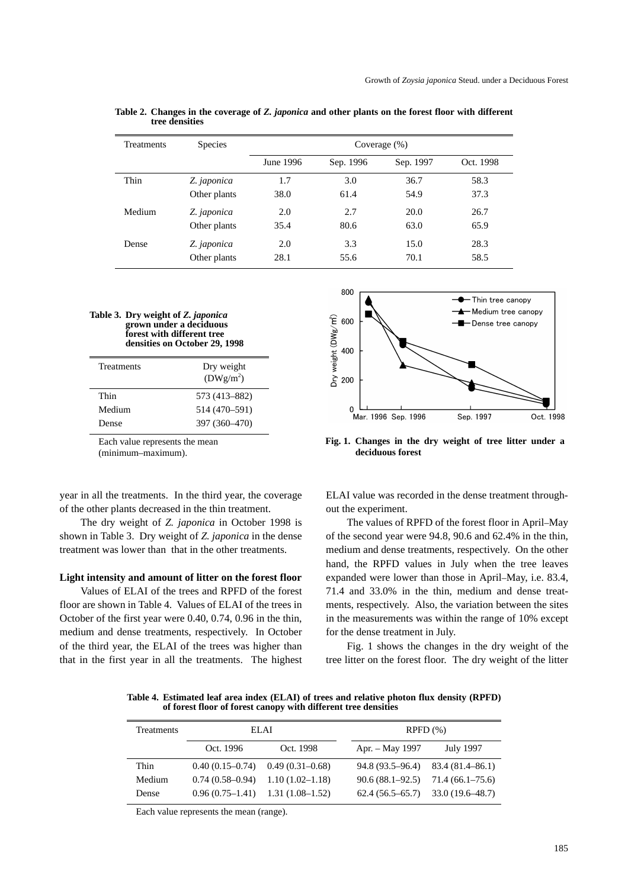| <b>Treatments</b> | <b>Species</b> | Coverage $(\%)$ |           |           |           |
|-------------------|----------------|-----------------|-----------|-----------|-----------|
|                   |                | June 1996       | Sep. 1996 | Sep. 1997 | Oct. 1998 |
| Thin              | Z. japonica    | 1.7             | 3.0       | 36.7      | 58.3      |
|                   | Other plants   | 38.0            | 61.4      | 54.9      | 37.3      |
| Medium            | Z. japonica    | 2.0             | 2.7       | 20.0      | 26.7      |
|                   | Other plants   | 35.4            | 80.6      | 63.0      | 65.9      |
| Dense             | Z. japonica    | 2.0             | 3.3       | 15.0      | 28.3      |
|                   | Other plants   | 28.1            | 55.6      | 70.1      | 58.5      |

**Table 2. Changes in the coverage of** *Z. japonica* **and other plants on the forest floor with different tree densities**

| Table 3. Dry weight of Z. <i>japonica</i> |
|-------------------------------------------|
| grown under a deciduous                   |
| forest with different tree                |
| densities on October 29, 1998             |

Each value represents the mean

(minimum–maximum).

year in all the treatments. In the third year, the coverage of the other plants decreased in the thin treatment.

The dry weight of *Z. japonica* in October 1998 is shown in Table 3. Dry weight of *Z. japonica* in the dense treatment was lower than that in the other treatments.

#### **Light intensity and amount of litter on the forest floor**

Values of ELAI of the trees and RPFD of the forest floor are shown in Table 4. Values of ELAI of the trees in October of the first year were 0.40, 0.74, 0.96 in the thin, medium and dense treatments, respectively. In October of the third year, the ELAI of the trees was higher than that in the first year in all the treatments. The highest



**Fig. 1. Changes in the dry weight of tree litter under a deciduous forest**

ELAI value was recorded in the dense treatment throughout the experiment.

The values of RPFD of the forest floor in April–May of the second year were 94.8, 90.6 and 62.4% in the thin, medium and dense treatments, respectively. On the other hand, the RPFD values in July when the tree leaves expanded were lower than those in April–May, i.e. 83.4, 71.4 and 33.0% in the thin, medium and dense treatments, respectively. Also, the variation between the sites in the measurements was within the range of 10% except for the dense treatment in July.

Fig. 1 shows the changes in the dry weight of the tree litter on the forest floor. The dry weight of the litter

**Table 4. Estimated leaf area index (ELAI) of trees and relative photon flux density (RPFD) of forest floor of forest canopy with different tree densities**

| <b>Treatments</b> | ELAI      |                                     | $R$ PFD $(\% )$                     |                                     |
|-------------------|-----------|-------------------------------------|-------------------------------------|-------------------------------------|
|                   | Oct. 1996 | Oct. 1998                           | Apr. – May 1997                     | July 1997                           |
| Thin              |           | $0.40(0.15-0.74)$ $0.49(0.31-0.68)$ |                                     | $94.8(93.5-96.4)$ $83.4(81.4-86.1)$ |
| Medium            |           | $0.74(0.58-0.94)$ $1.10(1.02-1.18)$ | $90.6(88.1-92.5)$ $71.4(66.1-75.6)$ |                                     |
| Dense             |           | $0.96(0.75-1.41)$ 1.31 (1.08-1.52)  |                                     | $62.4(56.5-65.7)$ $33.0(19.6-48.7)$ |

Each value represents the mean (range).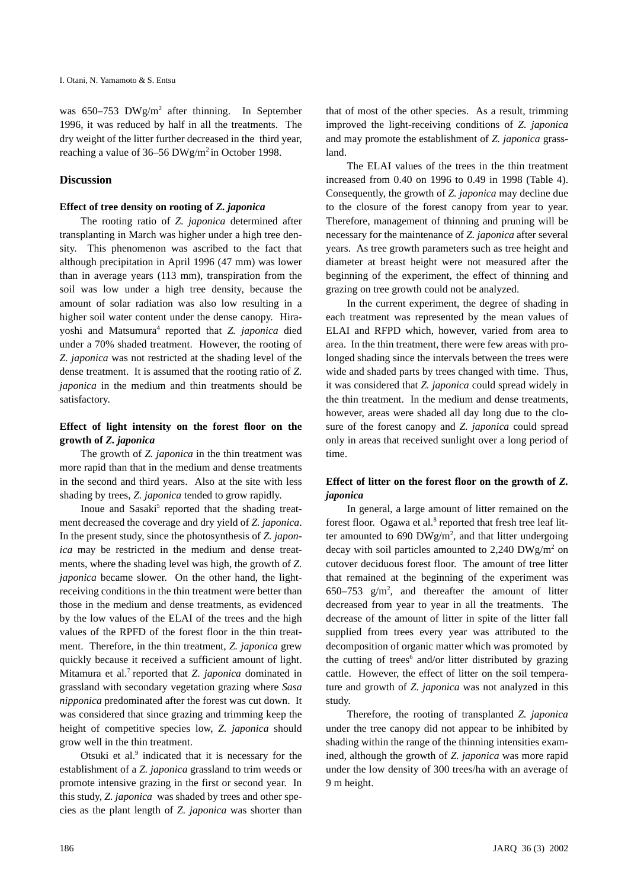was 650-753 DWg/m<sup>2</sup> after thinning. In September 1996, it was reduced by half in all the treatments. The dry weight of the litter further decreased in the third year, reaching a value of 36–56 DWg/m<sup>2</sup> in October 1998.

# **Discussion**

#### **Effect of tree density on rooting of** *Z. japonica*

The rooting ratio of *Z. japonica* determined after transplanting in March was higher under a high tree density. This phenomenon was ascribed to the fact that although precipitation in April 1996 (47 mm) was lower than in average years (113 mm), transpiration from the soil was low under a high tree density, because the amount of solar radiation was also low resulting in a higher soil water content under the dense canopy. Hirayoshi and Matsumura<sup>4</sup> reported that *Z. japonica* died under a 70% shaded treatment. However, the rooting of *Z. japonica* was not restricted at the shading level of the dense treatment. It is assumed that the rooting ratio of *Z. japonica* in the medium and thin treatments should be satisfactory.

## **Effect of light intensity on the forest floor on the growth of** *Z. japonica*

The growth of *Z. japonica* in the thin treatment was more rapid than that in the medium and dense treatments in the second and third years. Also at the site with less shading by trees, *Z. japonica* tended to grow rapidly.

Inoue and Sasaki<sup>5</sup> reported that the shading treatment decreased the coverage and dry yield of *Z. japonica*. In the present study, since the photosynthesis of *Z. japonica* may be restricted in the medium and dense treatments, where the shading level was high, the growth of *Z. japonica* became slower. On the other hand, the lightreceiving conditions in the thin treatment were better than those in the medium and dense treatments, as evidenced by the low values of the ELAI of the trees and the high values of the RPFD of the forest floor in the thin treatment. Therefore, in the thin treatment, *Z. japonica* grew quickly because it received a sufficient amount of light. Mitamura et al.<sup>7</sup> reported that *Z. japonica* dominated in grassland with secondary vegetation grazing where *Sasa nipponica* predominated after the forest was cut down. It was considered that since grazing and trimming keep the height of competitive species low, *Z. japonica* should grow well in the thin treatment.

Otsuki et al.<sup>9</sup> indicated that it is necessary for the establishment of a *Z. japonica* grassland to trim weeds or promote intensive grazing in the first or second year. In this study, *Z. japonica* was shaded by trees and other species as the plant length of *Z. japonica* was shorter than that of most of the other species. As a result, trimming improved the light-receiving conditions of *Z. japonica* and may promote the establishment of *Z. japonica* grassland.

The ELAI values of the trees in the thin treatment increased from 0.40 on 1996 to 0.49 in 1998 (Table 4). Consequently, the growth of *Z. japonica* may decline due to the closure of the forest canopy from year to year. Therefore, management of thinning and pruning will be necessary for the maintenance of *Z. japonica* after several years. As tree growth parameters such as tree height and diameter at breast height were not measured after the beginning of the experiment, the effect of thinning and grazing on tree growth could not be analyzed.

In the current experiment, the degree of shading in each treatment was represented by the mean values of ELAI and RFPD which, however, varied from area to area. In the thin treatment, there were few areas with prolonged shading since the intervals between the trees were wide and shaded parts by trees changed with time. Thus, it was considered that *Z. japonica* could spread widely in the thin treatment. In the medium and dense treatments, however, areas were shaded all day long due to the closure of the forest canopy and *Z. japonica* could spread only in areas that received sunlight over a long period of time.

# **Effect of litter on the forest floor on the growth of** *Z. japonica*

In general, a large amount of litter remained on the forest floor. Ogawa et al.<sup>8</sup> reported that fresh tree leaf litter amounted to 690 DWg/m<sup>2</sup>, and that litter undergoing decay with soil particles amounted to 2,240  $DWg/m^2$  on cutover deciduous forest floor. The amount of tree litter that remained at the beginning of the experiment was 650–753  $g/m^2$ , and thereafter the amount of litter decreased from year to year in all the treatments. The decrease of the amount of litter in spite of the litter fall supplied from trees every year was attributed to the decomposition of organic matter which was promoted by the cutting of trees<sup>6</sup> and/or litter distributed by grazing cattle. However, the effect of litter on the soil temperature and growth of *Z. japonica* was not analyzed in this study.

Therefore, the rooting of transplanted *Z. japonica* under the tree canopy did not appear to be inhibited by shading within the range of the thinning intensities examined, although the growth of *Z. japonica* was more rapid under the low density of 300 trees/ha with an average of 9 m height.